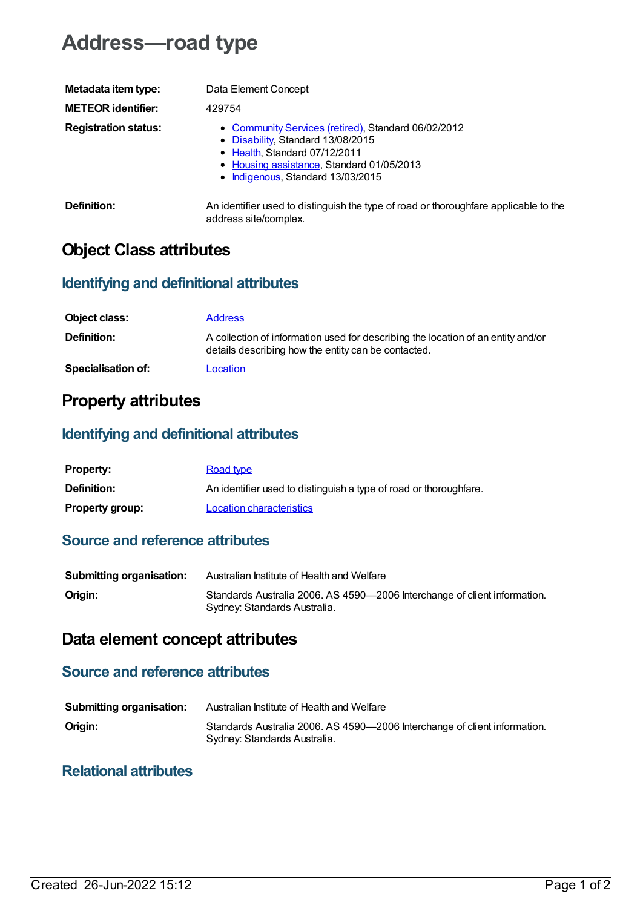# **Address—road type**

| Metadata item type:         | Data Element Concept                                                                                                                                                                                        |
|-----------------------------|-------------------------------------------------------------------------------------------------------------------------------------------------------------------------------------------------------------|
| <b>METEOR identifier:</b>   | 429754                                                                                                                                                                                                      |
| <b>Registration status:</b> | • Community Services (retired), Standard 06/02/2012<br>• Disability, Standard 13/08/2015<br>• Health, Standard 07/12/2011<br>• Housing assistance, Standard 01/05/2013<br>• Indigenous, Standard 13/03/2015 |
| Definition:                 | An identifier used to distinguish the type of road or thoroughfare applicable to the<br>address site/complex.                                                                                               |

### **Object Class attributes**

#### **Identifying and definitional attributes**

| Object class:             | <b>Address</b>                                                                                                                          |
|---------------------------|-----------------------------------------------------------------------------------------------------------------------------------------|
| <b>Definition:</b>        | A collection of information used for describing the location of an entity and/or<br>details describing how the entity can be contacted. |
| <b>Specialisation of:</b> | Location                                                                                                                                |

### **Property attributes**

#### **Identifying and definitional attributes**

| <b>Property:</b>       | Road type                                                         |
|------------------------|-------------------------------------------------------------------|
| <b>Definition:</b>     | An identifier used to distinguish a type of road or thoroughfare. |
| <b>Property group:</b> | Location characteristics                                          |

#### **Source and reference attributes**

| <b>Submitting organisation:</b> | Australian Institute of Health and Welfare                                                                |
|---------------------------------|-----------------------------------------------------------------------------------------------------------|
| Origin:                         | Standards Australia 2006. AS 4590-2006 Interchange of client information.<br>Sydney: Standards Australia. |

## **Data element concept attributes**

#### **Source and reference attributes**

| <b>Submitting organisation:</b> | Australian Institute of Health and Welfare                                                                |
|---------------------------------|-----------------------------------------------------------------------------------------------------------|
| Origin:                         | Standards Australia 2006. AS 4590-2006 Interchange of client information.<br>Sydney: Standards Australia. |

#### **Relational attributes**